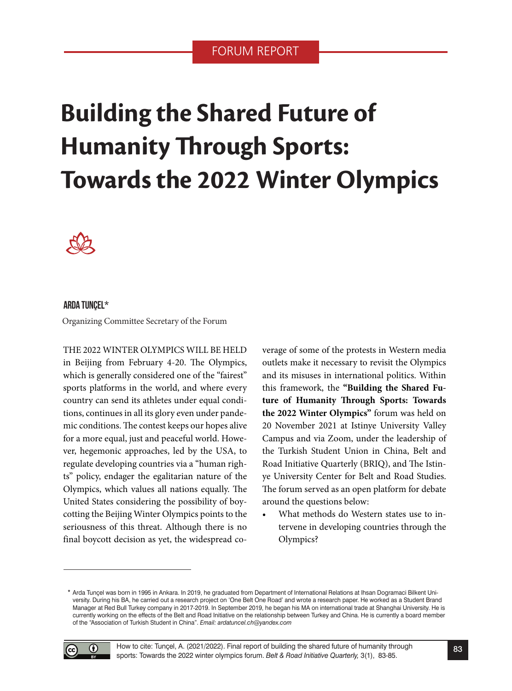## FORUM REPORT

# **Building the Shared Future of Humanity Through Sports: Towards the 2022 Winter Olympics**



#### ARDA TUNÇEL\*

Organizing Committee Secretary of the Forum

THE 2022 WINTER OLYMPICS WILL BE HELD in Beijing from February 4-20. The Olympics, which is generally considered one of the "fairest" sports platforms in the world, and where every country can send its athletes under equal conditions, continues in all its glory even under pandemic conditions. The contest keeps our hopes alive for a more equal, just and peaceful world. However, hegemonic approaches, led by the USA, to regulate developing countries via a "human rights" policy, endager the egalitarian nature of the Olympics, which values all nations equally. The United States considering the possibility of boycotting the Beijing Winter Olympics points to the seriousness of this threat. Although there is no final boycott decision as yet, the widespread coverage of some of the protests in Western media outlets make it necessary to revisit the Olympics and its misuses in international politics. Within this framework, the **"Building the Shared Future of Humanity Through Sports: Towards the 2022 Winter Olympics"** forum was held on 20 November 2021 at Istinye University Valley Campus and via Zoom, under the leadership of the Turkish Student Union in China, Belt and Road Initiative Quarterly (BRIQ), and The Istinye University Center for Belt and Road Studies. The forum served as an open platform for debate around the questions below:

• What methods do Western states use to intervene in developing countries through the Olympics?

Arda Tunçel was born in 1995 in Ankara. In 2019, he graduated from Department of International Relations at Ihsan Dogramaci Bilkent Uni-**\***  versity. During his BA, he carried out a research project on 'One Belt One Road' and wrote a research paper. He worked as a Student Brand Manager at Red Bull Turkey company in 2017-2019. In September 2019, he began his MA on international trade at Shanghai University. He is currently working on the effects of the Belt and Road Initiative on the relationship between Turkey and China. He is currently a board member of the "Association of Turkish Student in China". *Email: ardatuncel.ch@yandex.com*

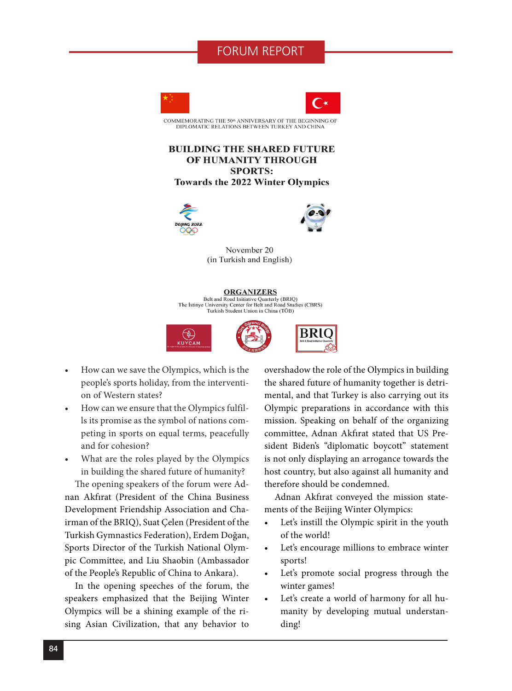### FORUM REPORT





COMMEMORATING THE 50th ANNIVERSARY OF THE BEGINNING OF DIPLOMATIC RELATIONS BETWEEN TURKEY AND CHINA

#### **BUILDING THE SHARED FUTURE** OF HUMANITY THROUGH **SPORTS: Towards the 2022 Winter Olympics**





November 20 (in Turkish and English)

#### **ORGANIZERS**

Belt and Road Initiative Quarterly (BRIQ) The Istinve University Center for Belt and Road Studies (CBRS) Turkish Student Union in China (TÖB)



- How can we save the Olympics, which is the people's sports holiday, from the intervention of Western states?
- How can we ensure that the Olympics fulfills its promise as the symbol of nations competing in sports on equal terms, peacefully and for cohesion?
- What are the roles played by the Olympics in building the shared future of humanity?

The opening speakers of the forum were Adnan Akfırat (President of the China Business Development Friendship Association and Chairman of the BRIQ), Suat Çelen (President of the Turkish Gymnastics Federation), Erdem Doğan, Sports Director of the Turkish National Olympic Committee, and Liu Shaobin (Ambassador of the People's Republic of China to Ankara).

In the opening speeches of the forum, the speakers emphasized that the Beijing Winter Olympics will be a shining example of the rising Asian Civilization, that any behavior to overshadow the role of the Olympics in building the shared future of humanity together is detrimental, and that Turkey is also carrying out its Olympic preparations in accordance with this mission. Speaking on behalf of the organizing committee, Adnan Akfırat stated that US President Biden's "diplomatic boycott" statement is not only displaying an arrogance towards the host country, but also against all humanity and therefore should be condemned.

Adnan Akfırat conveyed the mission statements of the Beijing Winter Olympics:

- Let's instill the Olympic spirit in the youth of the world!
- Let's encourage millions to embrace winter sports!
- Let's promote social progress through the winter games!
- Let's create a world of harmony for all humanity by developing mutual understanding!